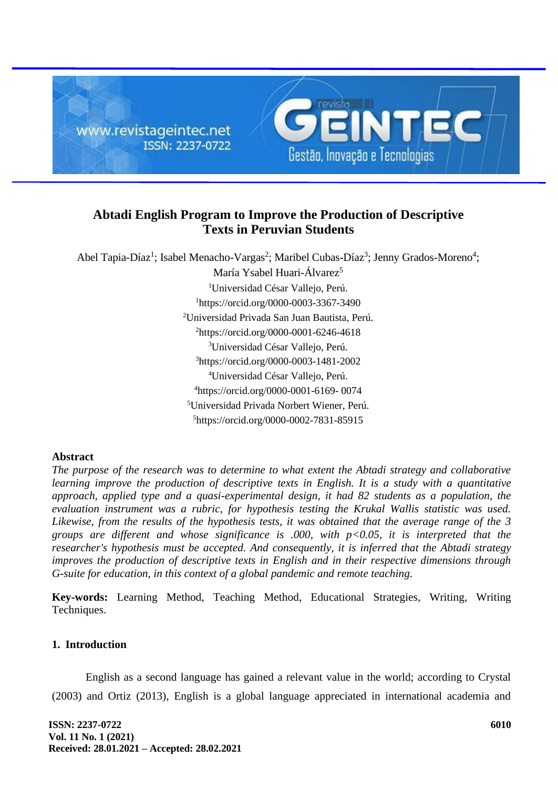

# **Abtadi English Program to Improve the Production of Descriptive Texts in Peruvian Students**

Abel Tapia-Díaz<sup>1</sup>; Isabel Menacho-Vargas<sup>2</sup>; Maribel Cubas-Díaz<sup>3</sup>; Jenny Grados-Moreno<sup>4</sup>; María Ysabel Huari-Álvarez<sup>5</sup> Universidad César Vallejo, Perú. https://orcid.org/0000-0003-3367-3490 Universidad Privada San Juan Bautista, Perú. https://orcid.org/0000-0001-6246-4618 Universidad César Vallejo, Perú. https://orcid.org/0000-0003-1481-2002 Universidad César Vallejo, Perú. https://orcid.org/0000-0001-6169- 0074 Universidad Privada Norbert Wiener, Perú. https://orcid.org/0000-0002-7831-85915

## **Abstract**

*The purpose of the research was to determine to what extent the Abtadi strategy and collaborative learning improve the production of descriptive texts in English. It is a study with a quantitative approach, applied type and a quasi-experimental design, it had 82 students as a population, the evaluation instrument was a rubric, for hypothesis testing the Krukal Wallis statistic was used. Likewise, from the results of the hypothesis tests, it was obtained that the average range of the 3 groups are different and whose significance is .000, with p<0.05, it is interpreted that the researcher's hypothesis must be accepted. And consequently, it is inferred that the Abtadi strategy improves the production of descriptive texts in English and in their respective dimensions through G-suite for education, in this context of a global pandemic and remote teaching.*

**Key-words:** Learning Method, Teaching Method, Educational Strategies, Writing, Writing Techniques.

## **1. Introduction**

English as a second language has gained a relevant value in the world; according to Crystal (2003) and Ortiz (2013), English is a global language appreciated in international academia and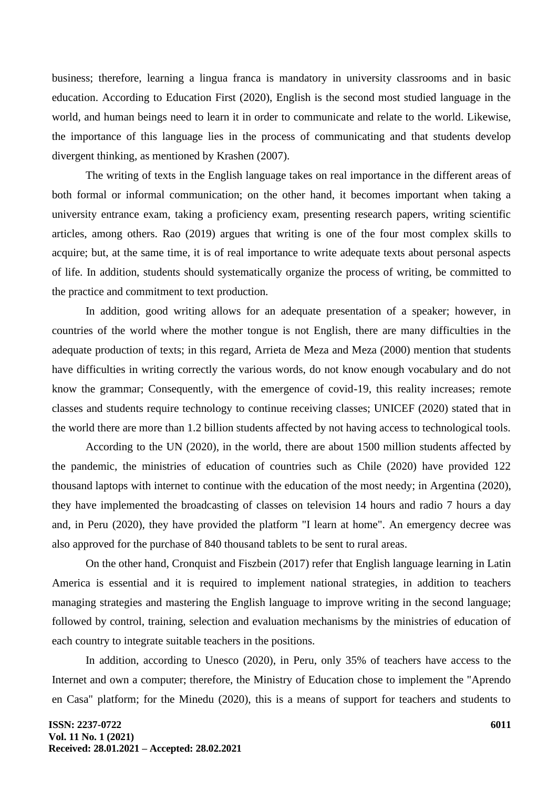business; therefore, learning a lingua franca is mandatory in university classrooms and in basic education. According to Education First (2020), English is the second most studied language in the world, and human beings need to learn it in order to communicate and relate to the world. Likewise, the importance of this language lies in the process of communicating and that students develop divergent thinking, as mentioned by Krashen (2007).

The writing of texts in the English language takes on real importance in the different areas of both formal or informal communication; on the other hand, it becomes important when taking a university entrance exam, taking a proficiency exam, presenting research papers, writing scientific articles, among others. Rao (2019) argues that writing is one of the four most complex skills to acquire; but, at the same time, it is of real importance to write adequate texts about personal aspects of life. In addition, students should systematically organize the process of writing, be committed to the practice and commitment to text production.

In addition, good writing allows for an adequate presentation of a speaker; however, in countries of the world where the mother tongue is not English, there are many difficulties in the adequate production of texts; in this regard, Arrieta de Meza and Meza (2000) mention that students have difficulties in writing correctly the various words, do not know enough vocabulary and do not know the grammar; Consequently, with the emergence of covid-19, this reality increases; remote classes and students require technology to continue receiving classes; UNICEF (2020) stated that in the world there are more than 1.2 billion students affected by not having access to technological tools.

According to the UN (2020), in the world, there are about 1500 million students affected by the pandemic, the ministries of education of countries such as Chile (2020) have provided 122 thousand laptops with internet to continue with the education of the most needy; in Argentina (2020), they have implemented the broadcasting of classes on television 14 hours and radio 7 hours a day and, in Peru (2020), they have provided the platform "I learn at home". An emergency decree was also approved for the purchase of 840 thousand tablets to be sent to rural areas.

On the other hand, Cronquist and Fiszbein (2017) refer that English language learning in Latin America is essential and it is required to implement national strategies, in addition to teachers managing strategies and mastering the English language to improve writing in the second language; followed by control, training, selection and evaluation mechanisms by the ministries of education of each country to integrate suitable teachers in the positions.

In addition, according to Unesco (2020), in Peru, only 35% of teachers have access to the Internet and own a computer; therefore, the Ministry of Education chose to implement the "Aprendo en Casa" platform; for the Minedu (2020), this is a means of support for teachers and students to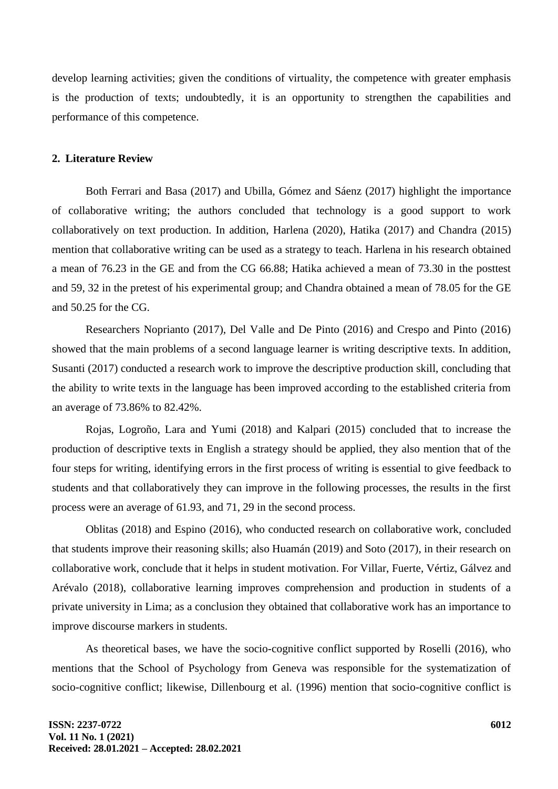develop learning activities; given the conditions of virtuality, the competence with greater emphasis is the production of texts; undoubtedly, it is an opportunity to strengthen the capabilities and performance of this competence.

## **2. Literature Review**

Both Ferrari and Basa (2017) and Ubilla, Gómez and Sáenz (2017) highlight the importance of collaborative writing; the authors concluded that technology is a good support to work collaboratively on text production. In addition, Harlena (2020), Hatika (2017) and Chandra (2015) mention that collaborative writing can be used as a strategy to teach. Harlena in his research obtained a mean of 76.23 in the GE and from the CG 66.88; Hatika achieved a mean of 73.30 in the posttest and 59, 32 in the pretest of his experimental group; and Chandra obtained a mean of 78.05 for the GE and 50.25 for the CG.

Researchers Noprianto (2017), Del Valle and De Pinto (2016) and Crespo and Pinto (2016) showed that the main problems of a second language learner is writing descriptive texts. In addition, Susanti (2017) conducted a research work to improve the descriptive production skill, concluding that the ability to write texts in the language has been improved according to the established criteria from an average of 73.86% to 82.42%.

Rojas, Logroño, Lara and Yumi (2018) and Kalpari (2015) concluded that to increase the production of descriptive texts in English a strategy should be applied, they also mention that of the four steps for writing, identifying errors in the first process of writing is essential to give feedback to students and that collaboratively they can improve in the following processes, the results in the first process were an average of 61.93, and 71, 29 in the second process.

Oblitas (2018) and Espino (2016), who conducted research on collaborative work, concluded that students improve their reasoning skills; also Huamán (2019) and Soto (2017), in their research on collaborative work, conclude that it helps in student motivation. For Villar, Fuerte, Vértiz, Gálvez and Arévalo (2018), collaborative learning improves comprehension and production in students of a private university in Lima; as a conclusion they obtained that collaborative work has an importance to improve discourse markers in students.

As theoretical bases, we have the socio-cognitive conflict supported by Roselli (2016), who mentions that the School of Psychology from Geneva was responsible for the systematization of socio-cognitive conflict; likewise, Dillenbourg et al. (1996) mention that socio-cognitive conflict is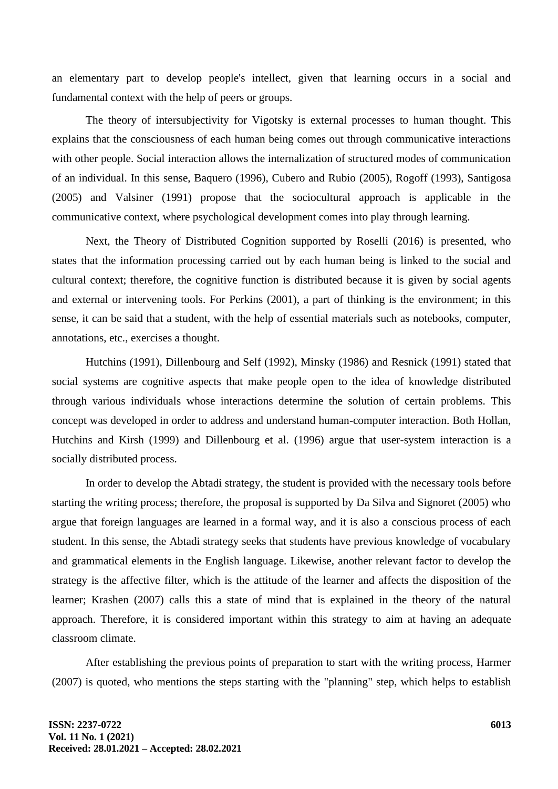an elementary part to develop people's intellect, given that learning occurs in a social and fundamental context with the help of peers or groups.

The theory of intersubjectivity for Vigotsky is external processes to human thought. This explains that the consciousness of each human being comes out through communicative interactions with other people. Social interaction allows the internalization of structured modes of communication of an individual. In this sense, Baquero (1996), Cubero and Rubio (2005), Rogoff (1993), Santigosa (2005) and Valsiner (1991) propose that the sociocultural approach is applicable in the communicative context, where psychological development comes into play through learning.

Next, the Theory of Distributed Cognition supported by Roselli (2016) is presented, who states that the information processing carried out by each human being is linked to the social and cultural context; therefore, the cognitive function is distributed because it is given by social agents and external or intervening tools. For Perkins (2001), a part of thinking is the environment; in this sense, it can be said that a student, with the help of essential materials such as notebooks, computer, annotations, etc., exercises a thought.

Hutchins (1991), Dillenbourg and Self (1992), Minsky (1986) and Resnick (1991) stated that social systems are cognitive aspects that make people open to the idea of knowledge distributed through various individuals whose interactions determine the solution of certain problems. This concept was developed in order to address and understand human-computer interaction. Both Hollan, Hutchins and Kirsh (1999) and Dillenbourg et al. (1996) argue that user-system interaction is a socially distributed process.

In order to develop the Abtadi strategy, the student is provided with the necessary tools before starting the writing process; therefore, the proposal is supported by Da Silva and Signoret (2005) who argue that foreign languages are learned in a formal way, and it is also a conscious process of each student. In this sense, the Abtadi strategy seeks that students have previous knowledge of vocabulary and grammatical elements in the English language. Likewise, another relevant factor to develop the strategy is the affective filter, which is the attitude of the learner and affects the disposition of the learner; Krashen (2007) calls this a state of mind that is explained in the theory of the natural approach. Therefore, it is considered important within this strategy to aim at having an adequate classroom climate.

After establishing the previous points of preparation to start with the writing process, Harmer (2007) is quoted, who mentions the steps starting with the "planning" step, which helps to establish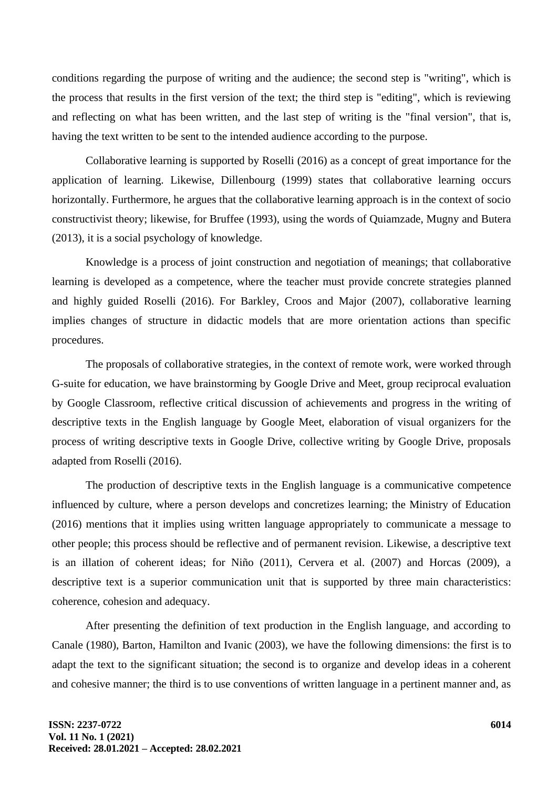conditions regarding the purpose of writing and the audience; the second step is "writing", which is the process that results in the first version of the text; the third step is "editing", which is reviewing and reflecting on what has been written, and the last step of writing is the "final version", that is, having the text written to be sent to the intended audience according to the purpose.

Collaborative learning is supported by Roselli (2016) as a concept of great importance for the application of learning. Likewise, Dillenbourg (1999) states that collaborative learning occurs horizontally. Furthermore, he argues that the collaborative learning approach is in the context of socio constructivist theory; likewise, for Bruffee (1993), using the words of Quiamzade, Mugny and Butera (2013), it is a social psychology of knowledge.

Knowledge is a process of joint construction and negotiation of meanings; that collaborative learning is developed as a competence, where the teacher must provide concrete strategies planned and highly guided Roselli (2016). For Barkley, Croos and Major (2007), collaborative learning implies changes of structure in didactic models that are more orientation actions than specific procedures.

The proposals of collaborative strategies, in the context of remote work, were worked through G-suite for education, we have brainstorming by Google Drive and Meet, group reciprocal evaluation by Google Classroom, reflective critical discussion of achievements and progress in the writing of descriptive texts in the English language by Google Meet, elaboration of visual organizers for the process of writing descriptive texts in Google Drive, collective writing by Google Drive, proposals adapted from Roselli (2016).

The production of descriptive texts in the English language is a communicative competence influenced by culture, where a person develops and concretizes learning; the Ministry of Education (2016) mentions that it implies using written language appropriately to communicate a message to other people; this process should be reflective and of permanent revision. Likewise, a descriptive text is an illation of coherent ideas; for Niño (2011), Cervera et al. (2007) and Horcas (2009), a descriptive text is a superior communication unit that is supported by three main characteristics: coherence, cohesion and adequacy.

After presenting the definition of text production in the English language, and according to Canale (1980), Barton, Hamilton and Ivanic (2003), we have the following dimensions: the first is to adapt the text to the significant situation; the second is to organize and develop ideas in a coherent and cohesive manner; the third is to use conventions of written language in a pertinent manner and, as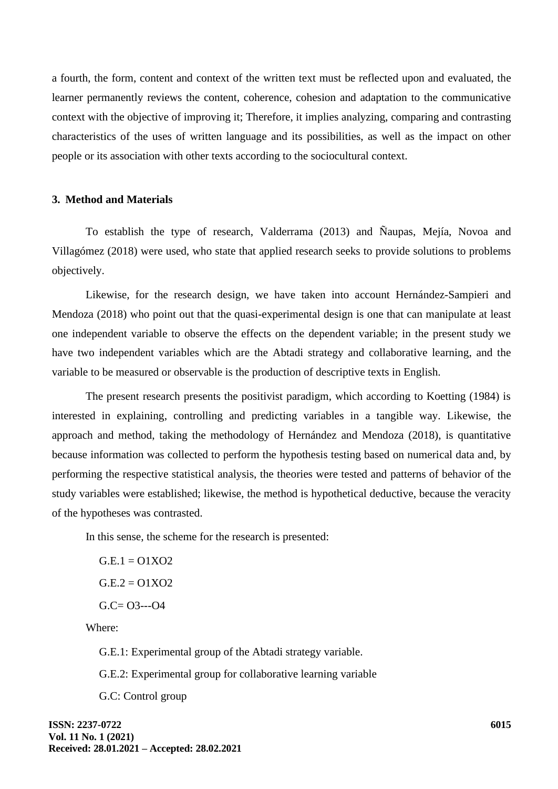a fourth, the form, content and context of the written text must be reflected upon and evaluated, the learner permanently reviews the content, coherence, cohesion and adaptation to the communicative context with the objective of improving it; Therefore, it implies analyzing, comparing and contrasting characteristics of the uses of written language and its possibilities, as well as the impact on other people or its association with other texts according to the sociocultural context.

### **3. Method and Materials**

To establish the type of research, Valderrama (2013) and Ñaupas, Mejía, Novoa and Villagómez (2018) were used, who state that applied research seeks to provide solutions to problems objectively.

Likewise, for the research design, we have taken into account Hernández-Sampieri and Mendoza (2018) who point out that the quasi-experimental design is one that can manipulate at least one independent variable to observe the effects on the dependent variable; in the present study we have two independent variables which are the Abtadi strategy and collaborative learning, and the variable to be measured or observable is the production of descriptive texts in English.

The present research presents the positivist paradigm, which according to Koetting (1984) is interested in explaining, controlling and predicting variables in a tangible way. Likewise, the approach and method, taking the methodology of Hernández and Mendoza (2018), is quantitative because information was collected to perform the hypothesis testing based on numerical data and, by performing the respective statistical analysis, the theories were tested and patterns of behavior of the study variables were established; likewise, the method is hypothetical deductive, because the veracity of the hypotheses was contrasted.

In this sense, the scheme for the research is presented:

 $G.E.1 = 01X02$  $G.E.2 = 01XO2$  $G.C= O3--O4$ 

Where:

G.E.1: Experimental group of the Abtadi strategy variable.

G.E.2: Experimental group for collaborative learning variable

G.C: Control group

**ISSN: 2237-0722 Vol. 11 No. 1 (2021) Received: 28.01.2021 – Accepted: 28.02.2021**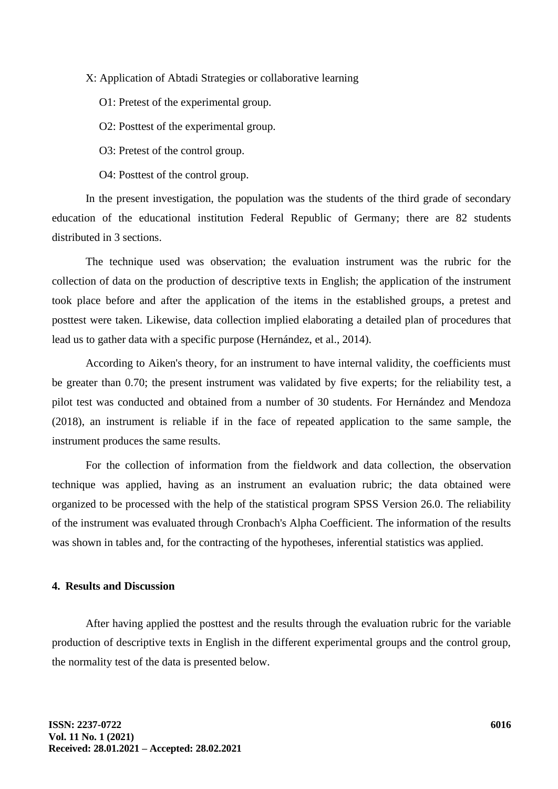X: Application of Abtadi Strategies or collaborative learning

O1: Pretest of the experimental group.

O2: Posttest of the experimental group.

O3: Pretest of the control group.

O4: Posttest of the control group.

In the present investigation, the population was the students of the third grade of secondary education of the educational institution Federal Republic of Germany; there are 82 students distributed in 3 sections.

The technique used was observation; the evaluation instrument was the rubric for the collection of data on the production of descriptive texts in English; the application of the instrument took place before and after the application of the items in the established groups, a pretest and posttest were taken. Likewise, data collection implied elaborating a detailed plan of procedures that lead us to gather data with a specific purpose (Hernández, et al., 2014).

According to Aiken's theory, for an instrument to have internal validity, the coefficients must be greater than 0.70; the present instrument was validated by five experts; for the reliability test, a pilot test was conducted and obtained from a number of 30 students. For Hernández and Mendoza (2018), an instrument is reliable if in the face of repeated application to the same sample, the instrument produces the same results.

For the collection of information from the fieldwork and data collection, the observation technique was applied, having as an instrument an evaluation rubric; the data obtained were organized to be processed with the help of the statistical program SPSS Version 26.0. The reliability of the instrument was evaluated through Cronbach's Alpha Coefficient. The information of the results was shown in tables and, for the contracting of the hypotheses, inferential statistics was applied.

#### **4. Results and Discussion**

After having applied the posttest and the results through the evaluation rubric for the variable production of descriptive texts in English in the different experimental groups and the control group, the normality test of the data is presented below.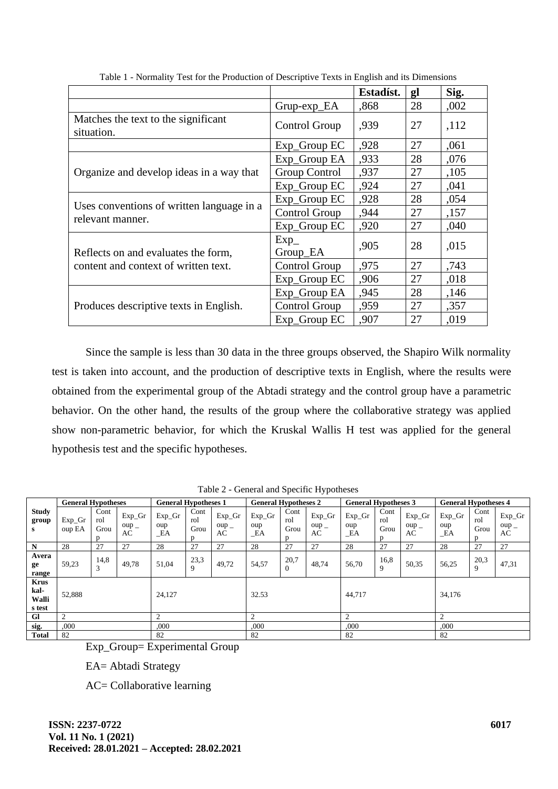|                                                   |                    | Estadíst. | gl | Sig. |
|---------------------------------------------------|--------------------|-----------|----|------|
|                                                   | $Grup-exp_EA$      | ,868      | 28 | ,002 |
| Matches the text to the significant<br>situation. | Control Group      | ,939      | 27 | ,112 |
|                                                   | Exp_Group EC       | ,928      | 27 | ,061 |
|                                                   | Exp_Group EA       | ,933      | 28 | ,076 |
| Organize and develop ideas in a way that          | Group Control      | ,937      | 27 | ,105 |
|                                                   | Exp_Group EC       | ,924      | 27 | ,041 |
|                                                   | Exp_Group EC       | ,928      | 28 | ,054 |
| Uses conventions of written language in a         | Control Group      | ,944      | 27 | ,157 |
| relevant manner.                                  | Exp_Group EC       | ,920      | 27 | ,040 |
| Reflects on and evaluates the form,               | $Exp_$<br>Group_EA | ,905      | 28 | ,015 |
| content and context of written text.              | Control Group      | .975      | 27 | ,743 |
|                                                   | Exp_Group EC       | ,906      | 27 | ,018 |
|                                                   | Exp_Group EA       | ,945      | 28 | ,146 |
| Produces descriptive texts in English.            | Control Group      | ,959      | 27 | ,357 |
|                                                   | Exp_Group EC       | ,907      | 27 | ,019 |

Table 1 - Normality Test for the Production of Descriptive Texts in English and its Dimensions

Since the sample is less than 30 data in the three groups observed, the Shapiro Wilk normality test is taken into account, and the production of descriptive texts in English, where the results were obtained from the experimental group of the Abtadi strategy and the control group have a parametric behavior. On the other hand, the results of the group where the collaborative strategy was applied show non-parametric behavior, for which the Kruskal Wallis H test was applied for the general hypothesis test and the specific hypotheses.

|                                        | <b>General Hypotheses</b> |                     |                                      | <b>General Hypotheses 1</b> |                           | <b>General Hypotheses 2</b>          |                          | <b>General Hypotheses 3</b> |                                      |                           | <b>General Hypotheses 4</b> |                                      |                        |                                     |                                      |
|----------------------------------------|---------------------------|---------------------|--------------------------------------|-----------------------------|---------------------------|--------------------------------------|--------------------------|-----------------------------|--------------------------------------|---------------------------|-----------------------------|--------------------------------------|------------------------|-------------------------------------|--------------------------------------|
| <b>Study</b><br>group<br>s             | $Exp_Gr$<br>oup EA        | Cont<br>rol<br>Grou | $Exp_Gr$<br>$oup$ <sub>-</sub><br>AC | $Exp_Gr$<br>oup<br>_EA      | Cont<br>rol<br>Grou<br>D. | $Exp_Gr$<br>$oup$ <sub>-</sub><br>AC | $Exp_Gr$<br>oup<br>$E$ A | Cont<br>rol<br>Grou<br>D    | $Exp_Gr$<br>$oup$ <sub>-</sub><br>AC | $Exp_Gr$<br>oup<br>$\_EA$ | Cont<br>rol<br>Grou         | $Exp_Gr$<br>$oup$ <sub>-</sub><br>AC | $Exp_Gr$<br>oup<br>_EA | Cont<br>rol<br>Grou<br><sub>n</sub> | $Exp_Gr$<br>$oup$ <sub>-</sub><br>AC |
| N                                      | 28                        | 27                  | 27                                   | 28                          | 27                        | 27                                   | 28                       | 27                          | 27                                   | 28                        | 27                          | 27                                   | 28                     | 27                                  | 27                                   |
| Avera<br>ge<br>range                   | 59,23                     | 14,8<br>3           | 49,78                                | 51,04                       | 23,3<br>9                 | 49,72                                | 54,57                    | 20,7<br>$\Omega$            | 48,74                                | 56,70                     | 16,8<br>9                   | 50,35                                | 56,25                  | 20,3<br>9                           | 47,31                                |
| <b>Krus</b><br>kal-<br>Walli<br>s test | 52,888                    |                     |                                      | 24,127                      |                           |                                      |                          | 32.53                       |                                      | 44,717                    |                             |                                      | 34,176                 |                                     |                                      |
| <b>Gl</b>                              | 2                         |                     |                                      | $\mathcal{D}$               |                           | $\overline{c}$                       |                          | $\overline{2}$              |                                      | $\overline{c}$            |                             |                                      |                        |                                     |                                      |
| sig.                                   | .000                      |                     |                                      | ,000                        |                           | ,000                                 |                          | ,000                        |                                      | ,000                      |                             |                                      |                        |                                     |                                      |
| <b>Total</b>                           | 82                        |                     |                                      | 82                          |                           | 82                                   |                          | 82                          |                                      | 82                        |                             |                                      |                        |                                     |                                      |

Table 2 - General and Specific Hypotheses

Exp\_Group= Experimental Group

EA= Abtadi Strategy

AC= Collaborative learning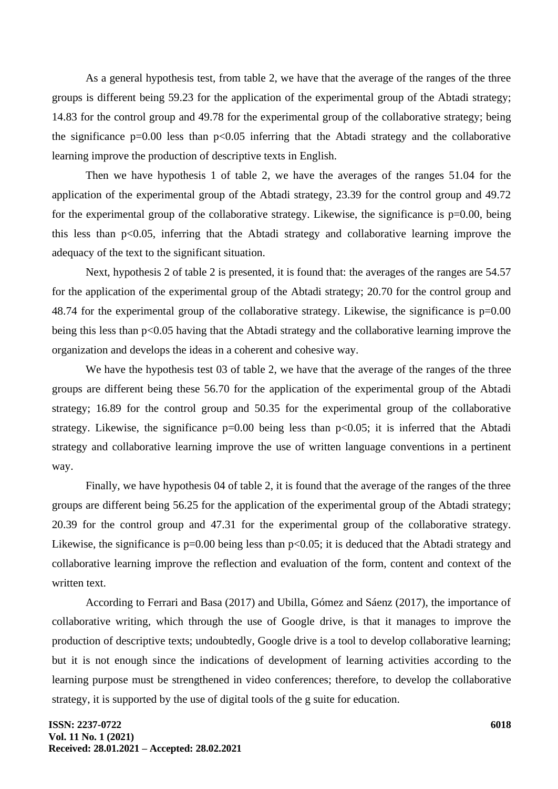As a general hypothesis test, from table 2, we have that the average of the ranges of the three groups is different being 59.23 for the application of the experimental group of the Abtadi strategy; 14.83 for the control group and 49.78 for the experimental group of the collaborative strategy; being the significance  $p=0.00$  less than  $p<0.05$  inferring that the Abtadi strategy and the collaborative learning improve the production of descriptive texts in English.

Then we have hypothesis 1 of table 2, we have the averages of the ranges 51.04 for the application of the experimental group of the Abtadi strategy, 23.39 for the control group and 49.72 for the experimental group of the collaborative strategy. Likewise, the significance is  $p=0.00$ , being this less than p<0.05, inferring that the Abtadi strategy and collaborative learning improve the adequacy of the text to the significant situation.

Next, hypothesis 2 of table 2 is presented, it is found that: the averages of the ranges are 54.57 for the application of the experimental group of the Abtadi strategy; 20.70 for the control group and 48.74 for the experimental group of the collaborative strategy. Likewise, the significance is p=0.00 being this less than p<0.05 having that the Abtadi strategy and the collaborative learning improve the organization and develops the ideas in a coherent and cohesive way.

We have the hypothesis test 03 of table 2, we have that the average of the ranges of the three groups are different being these 56.70 for the application of the experimental group of the Abtadi strategy; 16.89 for the control group and 50.35 for the experimental group of the collaborative strategy. Likewise, the significance  $p=0.00$  being less than  $p<0.05$ ; it is inferred that the Abtadi strategy and collaborative learning improve the use of written language conventions in a pertinent way.

Finally, we have hypothesis 04 of table 2, it is found that the average of the ranges of the three groups are different being 56.25 for the application of the experimental group of the Abtadi strategy; 20.39 for the control group and 47.31 for the experimental group of the collaborative strategy. Likewise, the significance is  $p=0.00$  being less than  $p<0.05$ ; it is deduced that the Abtadi strategy and collaborative learning improve the reflection and evaluation of the form, content and context of the written text.

According to Ferrari and Basa (2017) and Ubilla, Gómez and Sáenz (2017), the importance of collaborative writing, which through the use of Google drive, is that it manages to improve the production of descriptive texts; undoubtedly, Google drive is a tool to develop collaborative learning; but it is not enough since the indications of development of learning activities according to the learning purpose must be strengthened in video conferences; therefore, to develop the collaborative strategy, it is supported by the use of digital tools of the g suite for education.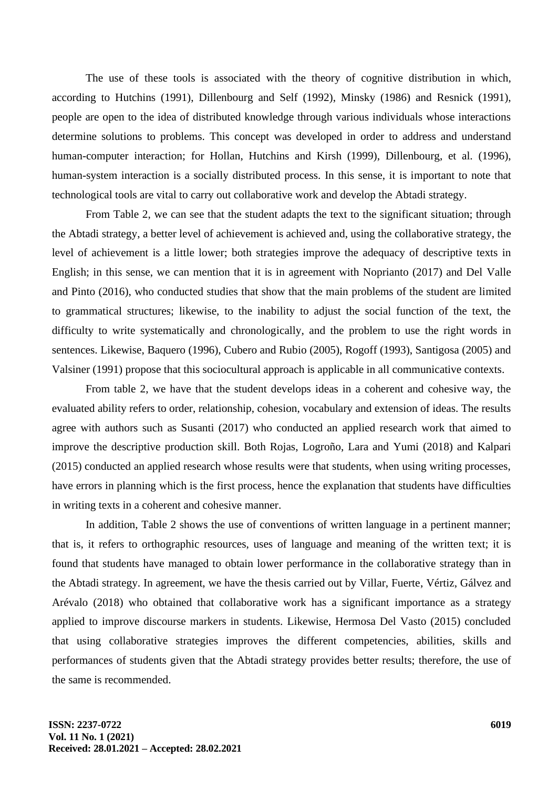The use of these tools is associated with the theory of cognitive distribution in which, according to Hutchins (1991), Dillenbourg and Self (1992), Minsky (1986) and Resnick (1991), people are open to the idea of distributed knowledge through various individuals whose interactions determine solutions to problems. This concept was developed in order to address and understand human-computer interaction; for Hollan, Hutchins and Kirsh (1999), Dillenbourg, et al. (1996), human-system interaction is a socially distributed process. In this sense, it is important to note that technological tools are vital to carry out collaborative work and develop the Abtadi strategy.

From Table 2, we can see that the student adapts the text to the significant situation; through the Abtadi strategy, a better level of achievement is achieved and, using the collaborative strategy, the level of achievement is a little lower; both strategies improve the adequacy of descriptive texts in English; in this sense, we can mention that it is in agreement with Noprianto (2017) and Del Valle and Pinto (2016), who conducted studies that show that the main problems of the student are limited to grammatical structures; likewise, to the inability to adjust the social function of the text, the difficulty to write systematically and chronologically, and the problem to use the right words in sentences. Likewise, Baquero (1996), Cubero and Rubio (2005), Rogoff (1993), Santigosa (2005) and Valsiner (1991) propose that this sociocultural approach is applicable in all communicative contexts.

From table 2, we have that the student develops ideas in a coherent and cohesive way, the evaluated ability refers to order, relationship, cohesion, vocabulary and extension of ideas. The results agree with authors such as Susanti (2017) who conducted an applied research work that aimed to improve the descriptive production skill. Both Rojas, Logroño, Lara and Yumi (2018) and Kalpari (2015) conducted an applied research whose results were that students, when using writing processes, have errors in planning which is the first process, hence the explanation that students have difficulties in writing texts in a coherent and cohesive manner.

In addition, Table 2 shows the use of conventions of written language in a pertinent manner; that is, it refers to orthographic resources, uses of language and meaning of the written text; it is found that students have managed to obtain lower performance in the collaborative strategy than in the Abtadi strategy. In agreement, we have the thesis carried out by Villar, Fuerte, Vértiz, Gálvez and Arévalo (2018) who obtained that collaborative work has a significant importance as a strategy applied to improve discourse markers in students. Likewise, Hermosa Del Vasto (2015) concluded that using collaborative strategies improves the different competencies, abilities, skills and performances of students given that the Abtadi strategy provides better results; therefore, the use of the same is recommended.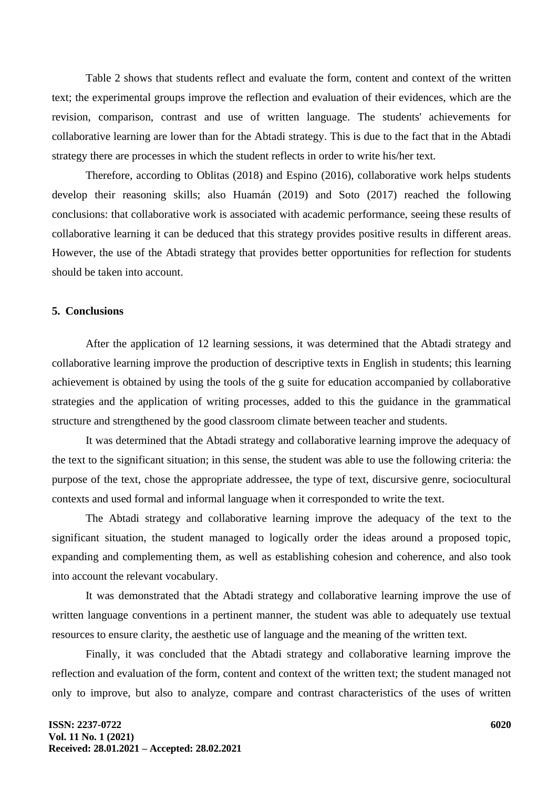Table 2 shows that students reflect and evaluate the form, content and context of the written text; the experimental groups improve the reflection and evaluation of their evidences, which are the revision, comparison, contrast and use of written language. The students' achievements for collaborative learning are lower than for the Abtadi strategy. This is due to the fact that in the Abtadi strategy there are processes in which the student reflects in order to write his/her text.

Therefore, according to Oblitas (2018) and Espino (2016), collaborative work helps students develop their reasoning skills; also Huamán (2019) and Soto (2017) reached the following conclusions: that collaborative work is associated with academic performance, seeing these results of collaborative learning it can be deduced that this strategy provides positive results in different areas. However, the use of the Abtadi strategy that provides better opportunities for reflection for students should be taken into account.

#### **5. Conclusions**

After the application of 12 learning sessions, it was determined that the Abtadi strategy and collaborative learning improve the production of descriptive texts in English in students; this learning achievement is obtained by using the tools of the g suite for education accompanied by collaborative strategies and the application of writing processes, added to this the guidance in the grammatical structure and strengthened by the good classroom climate between teacher and students.

It was determined that the Abtadi strategy and collaborative learning improve the adequacy of the text to the significant situation; in this sense, the student was able to use the following criteria: the purpose of the text, chose the appropriate addressee, the type of text, discursive genre, sociocultural contexts and used formal and informal language when it corresponded to write the text.

The Abtadi strategy and collaborative learning improve the adequacy of the text to the significant situation, the student managed to logically order the ideas around a proposed topic, expanding and complementing them, as well as establishing cohesion and coherence, and also took into account the relevant vocabulary.

It was demonstrated that the Abtadi strategy and collaborative learning improve the use of written language conventions in a pertinent manner, the student was able to adequately use textual resources to ensure clarity, the aesthetic use of language and the meaning of the written text.

Finally, it was concluded that the Abtadi strategy and collaborative learning improve the reflection and evaluation of the form, content and context of the written text; the student managed not only to improve, but also to analyze, compare and contrast characteristics of the uses of written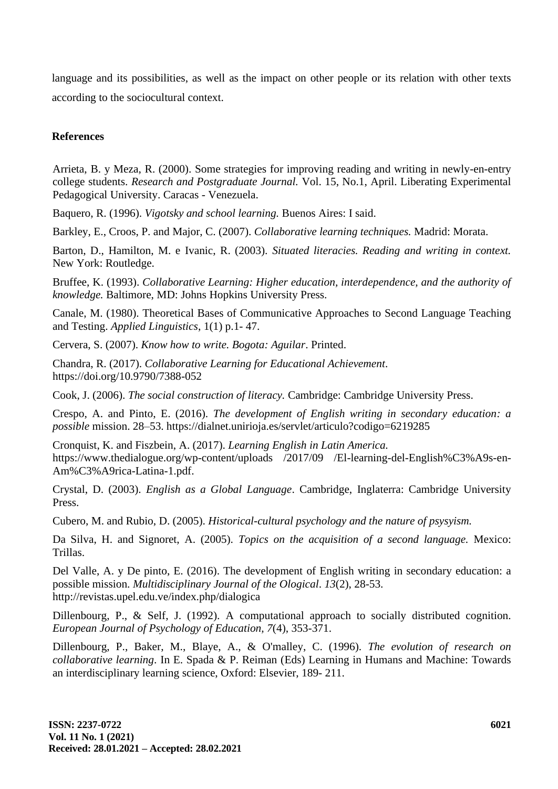language and its possibilities, as well as the impact on other people or its relation with other texts according to the sociocultural context.

## **References**

Arrieta, B. y Meza, R. (2000). Some strategies for improving reading and writing in newly-en-entry college students. *Research and Postgraduate Journal.* Vol. 15, No.1, April. Liberating Experimental Pedagogical University. Caracas - Venezuela.

Baquero, R. (1996). *Vigotsky and school learning.* Buenos Aires: I said.

Barkley, E., Croos, P. and Major, C. (2007). *Collaborative learning techniques.* Madrid: Morata.

Barton, D., Hamilton, M. e Ivanic, R. (2003). *Situated literacies. Reading and writing in context.*  New York: Routledge.

Bruffee, K. (1993). *Collaborative Learning: Higher education, interdependence, and the authority of knowledge.* Baltimore, MD: Johns Hopkins University Press.

Canale, M. (1980). Theoretical Bases of Communicative Approaches to Second Language Teaching and Testing. *Applied Linguistics*, 1(1) p.1- 47.

Cervera, S. (2007). *Know how to write. Bogota: Aguilar*. Printed.

Chandra, R. (2017). *Collaborative Learning for Educational Achievement*. https://doi.org/10.9790/7388-052

Cook, J. (2006). *The social construction of literacy.* Cambridge: Cambridge University Press.

Crespo, A. and Pinto, E. (2016). *The development of English writing in secondary education: a possible* mission. 28–53. https://dialnet.unirioja.es/servlet/articulo?codigo=6219285

Cronquist, K. and Fiszbein, A. (2017). *Learning English in Latin America.* https://www.thedialogue.org/wp-content/uploads /2017/09 /El-learning-del-English%C3%A9s-en-Am%C3%A9rica-Latina-1.pdf.

Crystal, D. (2003). *English as a Global Language*. Cambridge, Inglaterra: Cambridge University Press.

Cubero, M. and Rubio, D. (2005). *Historical-cultural psychology and the nature of psysyism.*

Da Silva, H. and Signoret, A. (2005). *Topics on the acquisition of a second language.* Mexico: Trillas.

Del Valle, A. y De pinto, E. (2016). The development of English writing in secondary education: a possible mission. *Multidisciplinary Journal of the Ological*. *13*(2), 28-53. http://revistas.upel.edu.ve/index.php/dialogica

Dillenbourg, P., & Self, J. (1992). A computational approach to socially distributed cognition. *European Journal of Psychology of Education, 7*(4), 353-371.

Dillenbourg, P., Baker, M., Blaye, A., & O'malley, C. (1996). *The evolution of research on collaborative learning*. In E. Spada & P. Reiman (Eds) Learning in Humans and Machine: Towards an interdisciplinary learning science, Oxford: Elsevier, 189- 211.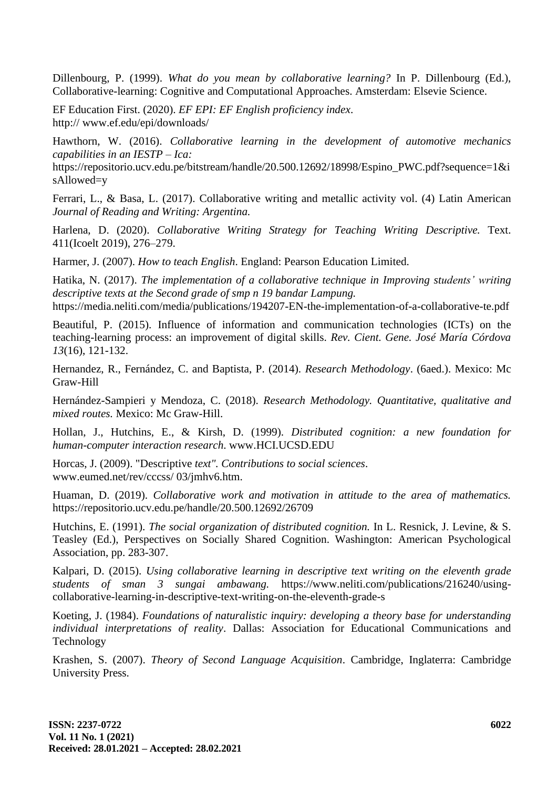Dillenbourg, P. (1999). *What do you mean by collaborative learning?* In P. Dillenbourg (Ed.), Collaborative-learning: Cognitive and Computational Approaches. Amsterdam: Elsevie Science.

EF Education First. (2020). *EF EPI: EF English proficiency index*. http:// www.ef.edu/epi/downloads/

Hawthorn, W. (2016). *Collaborative learning in the development of automotive mechanics capabilities in an IESTP – Ica:* 

https://repositorio.ucv.edu.pe/bitstream/handle/20.500.12692/18998/Espino\_PWC.pdf?sequence=1&i sAllowed=y

Ferrari, L., & Basa, L. (2017). Collaborative writing and metallic activity vol. (4) Latin American *Journal of Reading and Writing: Argentina.*

Harlena, D. (2020). *Collaborative Writing Strategy for Teaching Writing Descriptive.* Text. 411(Icoelt 2019), 276–279.

Harmer, J. (2007). *How to teach English*. England: Pearson Education Limited.

Hatika, N. (2017). *The implementation of a collaborative technique in Improving students' writing descriptive texts at the Second grade of smp n 19 bandar Lampung.*

https://media.neliti.com/media/publications/194207-EN-the-implementation-of-a-collaborative-te.pdf

Beautiful, P. (2015). Influence of information and communication technologies (ICTs) on the teaching-learning process: an improvement of digital skills. *Rev. Cient. Gene. José María Córdova 13*(16), 121-132.

Hernandez, R., Fernández, C. and Baptista, P. (2014). *Research Methodology*. (6aed.). Mexico: Mc Graw-Hill

Hernández-Sampieri y Mendoza, C. (2018). *Research Methodology. Quantitative, qualitative and mixed routes.* Mexico: Mc Graw-Hill.

Hollan, J., Hutchins, E., & Kirsh, D. (1999). *Distributed cognition: a new foundation for human-computer interaction research*. www.HCI.UCSD.EDU

Horcas, J. (2009). "Descriptive *text". Contributions to social sciences*. www.eumed.net/rev/cccss/ 03/jmhv6.htm.

Huaman, D. (2019). *Collaborative work and motivation in attitude to the area of mathematics.* https://repositorio.ucv.edu.pe/handle/20.500.12692/26709

Hutchins, E. (1991). *The social organization of distributed cognition.* In L. Resnick, J. Levine, & S. Teasley (Ed.), Perspectives on Socially Shared Cognition. Washington: American Psychological Association, pp. 283-307.

Kalpari, D. (2015). *Using collaborative learning in descriptive text writing on the eleventh grade students of sman 3 sungai ambawang.* https://www.neliti.com/publications/216240/usingcollaborative-learning-in-descriptive-text-writing-on-the-eleventh-grade-s

Koeting, J. (1984). *Foundations of naturalistic inquiry: developing a theory base for understanding individual interpretations of reality*. Dallas: Association for Educational Communications and Technology

Krashen, S. (2007). *Theory of Second Language Acquisition*. Cambridge, Inglaterra: Cambridge University Press.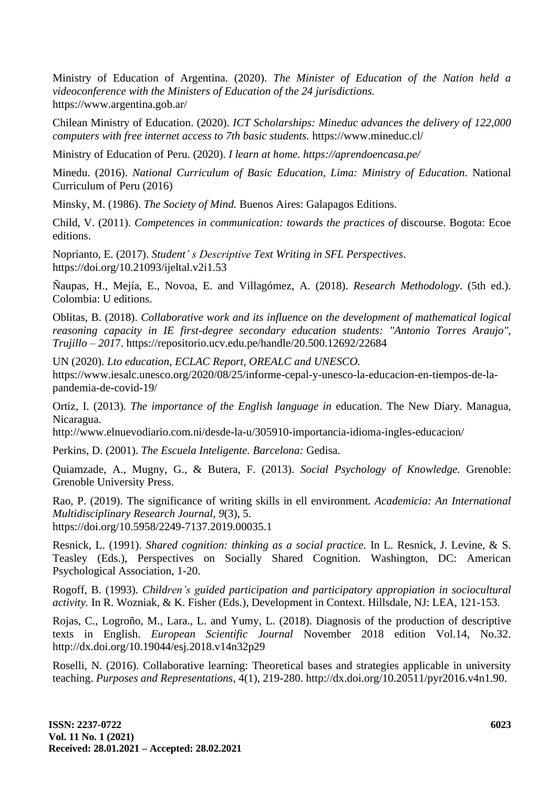Ministry of Education of Argentina. (2020). *The Minister of Education of the Nation held a videoconference with the Ministers of Education of the 24 jurisdictions.* https://www.argentina.gob.ar/

Chilean Ministry of Education. (2020). *ICT Scholarships: Mineduc advances the delivery of 122,000 computers with free internet access to 7th basic students.* https://www.mineduc.cl/

Ministry of Education of Peru. (2020). *I learn at home. https://aprendoencasa.pe/*

Minedu. (2016). *National Curriculum of Basic Education, Lima: Ministry of Education.* National Curriculum of Peru (2016)

Minsky, M. (1986). *The Society of Mind.* Buenos Aires: Galapagos Editions.

Child, V. (2011). *Competences in communication: towards the practices of* discourse. Bogota: Ecoe editions.

Noprianto, E. (2017). *Student' s Descriptive Text Writing in SFL Perspectives*. https://doi.org/10.21093/ijeltal.v2i1.53

Ñaupas, H., Mejía, E., Novoa, E. and Villagómez, A. (2018). *Research Methodology*. (5th ed.). Colombia: U editions.

Oblitas, B. (2018). *Collaborative work and its influence on the development of mathematical logical reasoning capacity in IE first-degree secondary education students: "Antonio Torres Araujo", Trujillo – 201*7. https://repositorio.ucv.edu.pe/handle/20.500.12692/22684

UN (2020). *Lto education, ECLAC Report, OREALC and UNESCO.* https://www.iesalc.unesco.org/2020/08/25/informe-cepal-y-unesco-la-educacion-en-tiempos-de-lapandemia-de-covid-19/

Ortiz, I. (2013). *The importance of the English language in* education. The New Diary. Managua, Nicaragua.

http://www.elnuevodiario.com.ni/desde-la-u/305910-importancia-idioma-ingles-educacion/

Perkins, D. (2001). *The Escuela Inteligente. Barcelona:* Gedisa.

Quiamzade, A., Mugny, G., & Butera, F. (2013). *Social Psychology of Knowledge.* Grenoble: Grenoble University Press.

Rao, P. (2019). The significance of writing skills in ell environment. *Academicia: An International Multidisciplinary Research Journal, 9*(3), 5. https://doi.org/10.5958/2249-7137.2019.00035.1

Resnick, L. (1991). *Shared cognition: thinking as a social practice.* In L. Resnick, J. Levine, & S. Teasley (Eds.), Perspectives on Socially Shared Cognition. Washington, DC: American Psychological Association, 1-20.

Rogoff, B. (1993). *Children's guided participation and participatory appropiation in sociocultural activity.* In R. Wozniak, & K. Fisher (Eds.), Development in Context. Hillsdale, NJ: LEA, 121-153.

Rojas, C., Logroño, M., Lara., L. and Yumy, L. (2018). Diagnosis of the production of descriptive texts in English. *European Scientific Journal* November 2018 edition Vol.14, No.32. http://dx.doi.org/10.19044/esj.2018.v14n32p29

Roselli, N. (2016). Collaborative learning: Theoretical bases and strategies applicable in university teaching. *Purposes and Representations*, 4(1), 219-280. http://dx.doi.org/10.20511/pyr2016.v4n1.90.